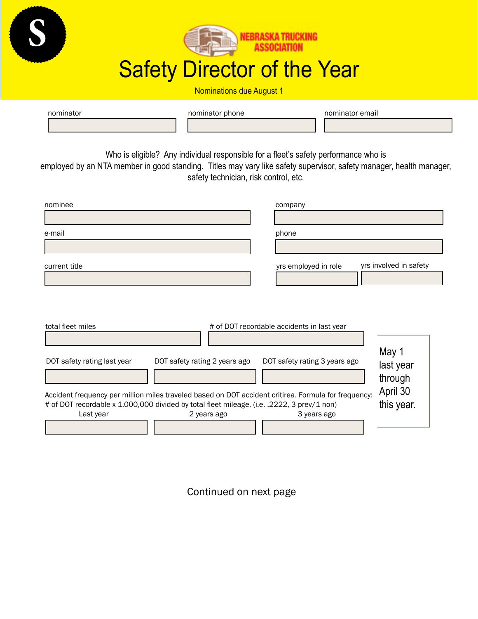

**S**

Nominations due August 1

| nominator |  | nominator phone |  | nominator email |  |
|-----------|--|-----------------|--|-----------------|--|
|           |  |                 |  |                 |  |

Who is eligible? Any individual responsible for a fleet's safety performance who is

employed by an NTA member in good standing. Titles may vary like safety supervisor, safety manager, health manager, safety technician, risk control, etc.

| nominee       | company                                        |
|---------------|------------------------------------------------|
| e-mail        | phone                                          |
| current title | yrs involved in safety<br>yrs employed in role |
|               |                                                |

| total fleet miles                                                                                    |                               | # of DOT recordable accidents in last year |                    |
|------------------------------------------------------------------------------------------------------|-------------------------------|--------------------------------------------|--------------------|
|                                                                                                      |                               |                                            |                    |
| DOT safety rating last year                                                                          | DOT safety rating 2 years ago | DOT safety rating 3 years ago              | May 1<br>last year |
|                                                                                                      |                               |                                            | through            |
| Accident frequency per million miles traveled based on DOT accident critirea. Formula for frequency: | April 30                      |                                            |                    |
| # of DOT recordable x 1,000,000 divided by total fleet mileage. (i.e. .2222, 3 prev/1 non)           | this year.                    |                                            |                    |
| Last year                                                                                            | 2 years ago                   | 3 years ago                                |                    |
|                                                                                                      |                               |                                            |                    |

Continued on next page